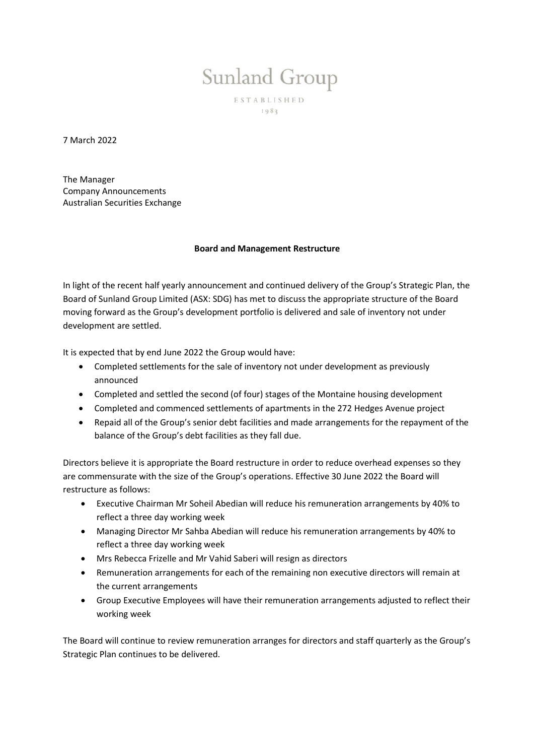## Sunland Group

ESTABLISHED  $1983$ 

7 March 2022

The Manager Company Announcements Australian Securities Exchange

## **Board and Management Restructure**

In light of the recent half yearly announcement and continued delivery of the Group's Strategic Plan, the Board of Sunland Group Limited (ASX: SDG) has met to discuss the appropriate structure of the Board moving forward as the Group's development portfolio is delivered and sale of inventory not under development are settled.

It is expected that by end June 2022 the Group would have:

- Completed settlements for the sale of inventory not under development as previously announced
- Completed and settled the second (of four) stages of the Montaine housing development
- Completed and commenced settlements of apartments in the 272 Hedges Avenue project
- Repaid all of the Group's senior debt facilities and made arrangements for the repayment of the balance of the Group's debt facilities as they fall due.

Directors believe it is appropriate the Board restructure in order to reduce overhead expenses so they are commensurate with the size of the Group's operations. Effective 30 June 2022 the Board will restructure as follows:

- Executive Chairman Mr Soheil Abedian will reduce his remuneration arrangements by 40% to reflect a three day working week
- Managing Director Mr Sahba Abedian will reduce his remuneration arrangements by 40% to reflect a three day working week
- Mrs Rebecca Frizelle and Mr Vahid Saberi will resign as directors
- Remuneration arrangements for each of the remaining non executive directors will remain at the current arrangements
- Group Executive Employees will have their remuneration arrangements adjusted to reflect their working week

The Board will continue to review remuneration arranges for directors and staff quarterly as the Group's Strategic Plan continues to be delivered.